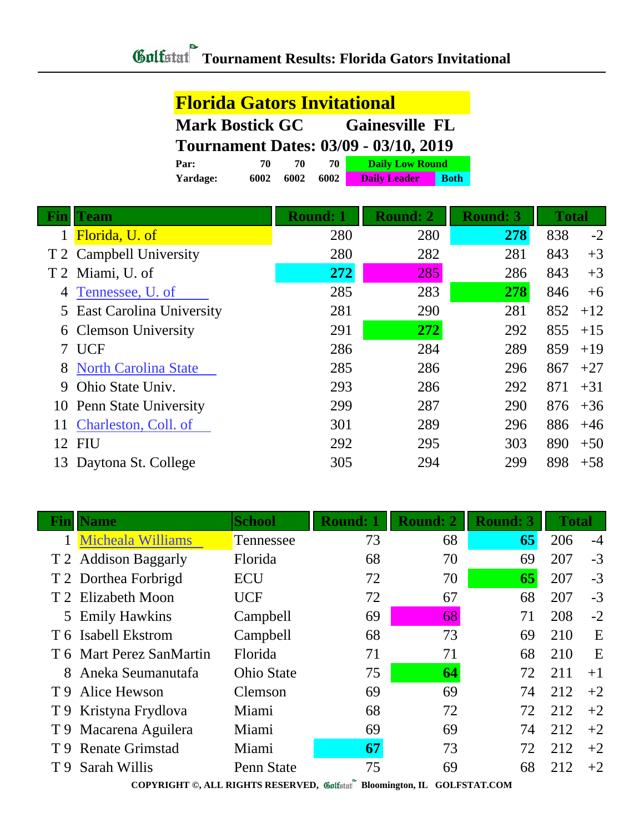| <b>Florida Gators Invitational</b> |                                              |                                                 |                 |                        |                 |              |       |
|------------------------------------|----------------------------------------------|-------------------------------------------------|-----------------|------------------------|-----------------|--------------|-------|
|                                    |                                              | <b>Mark Bostick GC</b><br><b>Gainesville FL</b> |                 |                        |                 |              |       |
|                                    | <b>Tournament Dates: 03/09 - 03/10, 2019</b> |                                                 |                 |                        |                 |              |       |
|                                    | 70<br>Par:                                   | 70                                              | 70              | <b>Daily Low Round</b> |                 |              |       |
|                                    | 6002<br>Yardage:                             | 6002                                            | 6002            | <b>Daily Leader</b>    | <b>Both</b>     |              |       |
|                                    | <b>Team</b>                                  |                                                 | <b>Round: 1</b> | <b>Round: 2</b>        | <b>Round: 3</b> | <b>Total</b> |       |
|                                    | Florida, U. of                               |                                                 | 280             | 280                    | 278             | 838          | $-2$  |
|                                    | T 2 Campbell University                      |                                                 | 280             | 282                    | 281             | 843          | $+3$  |
| T2                                 | Miami, U. of                                 |                                                 | 272             | 285                    | 286             | 843          | $+3$  |
| 4                                  | Tennessee, U. of                             |                                                 | 285             | 283                    | 278             | 846          | $+6$  |
| 5                                  | <b>East Carolina University</b>              |                                                 | 281             | 290                    | 281             | 852          | $+12$ |
| 6                                  | <b>Clemson University</b>                    |                                                 | 291             | 272                    | 292             | 855          | $+15$ |
| 7                                  | <b>UCF</b>                                   |                                                 | 286             | 284                    | 289             | 859          | $+19$ |
|                                    | <b>North Carolina State</b>                  |                                                 | 285             | 286                    | 296             | 867          | $+27$ |
| 9                                  | Ohio State Univ.                             |                                                 | 293             | 286                    | 292             | 871          | $+31$ |
| 10                                 | Penn State University                        |                                                 | 299             | 287                    | 290             | 876          | $+36$ |
| 11                                 | Charleston, Coll. of                         |                                                 | 301             | 289                    | 296             | 886          | $+46$ |
| 12                                 | <b>FIU</b>                                   |                                                 | 292             | 295                    | 303             | 890          | $+50$ |
| 13                                 | Daytona St. College                          |                                                 | 305             | 294                    | 299             | 898          | $+58$ |

| <b>Name</b>              | <b>School</b>     | <b>Round: 1</b> | <b>Round: 2</b> | <b>Round: 3</b> |     |              |
|--------------------------|-------------------|-----------------|-----------------|-----------------|-----|--------------|
| <b>Micheala Williams</b> | Tennessee         | 73              | 68              | 65              | 206 | $-4$         |
| T 2 Addison Baggarly     | Florida           | 68              | 70              | 69              | 207 | $-3$         |
| T 2 Dorthea Forbrigd     | <b>ECU</b>        | 72              | 70              | 65              | 207 | $-3$         |
| T 2 Elizabeth Moon       | <b>UCF</b>        | 72              | 67              | 68              | 207 | $-3$         |
| 5 Emily Hawkins          | Campbell          | 69              | 68              | 71              | 208 | $-2$         |
| T 6 Isabell Ekstrom      | Campbell          | 68              | 73              | 69              | 210 | E            |
| T 6 Mart Perez SanMartin | Florida           | 71              | 71              | 68              | 210 | E            |
| 8 Aneka Seumanutafa      | <b>Ohio State</b> | 75              | 64              | 72              | 211 | $+1$         |
| T 9 Alice Hewson         | Clemson           | 69              | 69              | 74              | 212 | $+2$         |
| T 9 Kristyna Frydlova    | Miami             | 68              | 72              | 72              | 212 | $+2$         |
| Macarena Aguilera        | Miami             | 69              | 69              | 74              | 212 | $+2$         |
| <b>Renate Grimstad</b>   | Miami             | 67              | 73              | 72              | 212 | $+2$         |
| Sarah Willis             | Penn State        | 75              | 69              | 68              | 212 | $+2$         |
|                          |                   |                 |                 |                 |     | <b>Total</b> |

**COPYRIGHT ©, ALL RIGHTS RESERVED, Bloomington, IL GOLFSTAT.COM**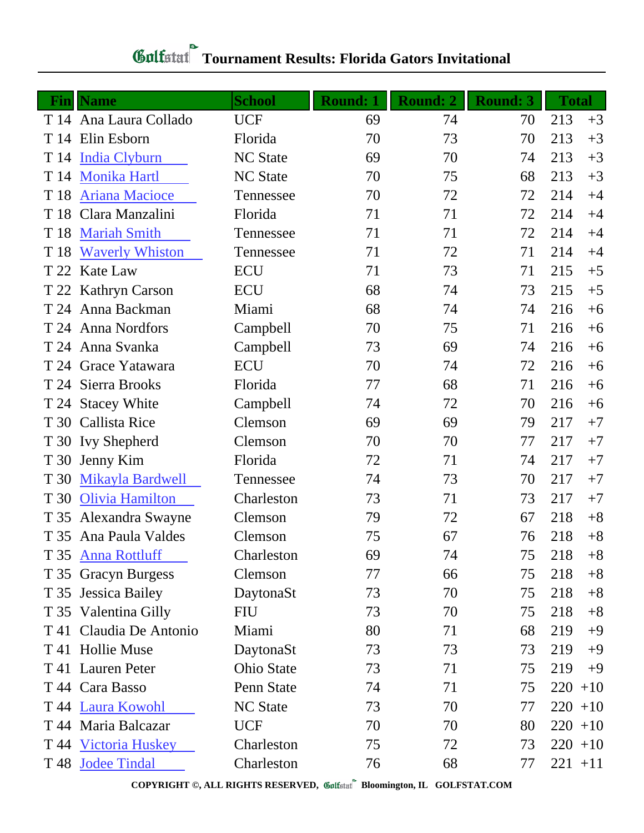## **Gulfatat** Tournament Results: Florida Gators Invitational

| Fin  | <b>Name</b>                 | <b>School</b>     | <b>Round: 1</b> | <b>Round: 2</b> | <b>Round: 3</b> | <b>Total</b> |       |
|------|-----------------------------|-------------------|-----------------|-----------------|-----------------|--------------|-------|
|      | T 14 Ana Laura Collado      | <b>UCF</b>        | 69              | 74              | 70              | 213          | $+3$  |
| T 14 | Elin Esborn                 | Florida           | 70              | 73              | 70              | 213          | $+3$  |
| T 14 | <b>India Clyburn</b>        | <b>NC State</b>   | 69              | 70              | 74              | 213          | $+3$  |
| T 14 | <b>Monika Hartl</b>         | <b>NC</b> State   | 70              | 75              | 68              | 213          | $+3$  |
| T 18 | <b>Ariana Macioce</b>       | Tennessee         | 70              | 72              | 72              | 214          | $+4$  |
| T 18 | Clara Manzalini             | Florida           | 71              | 71              | 72              | 214          | $+4$  |
| T 18 | <b>Mariah Smith</b>         | Tennessee         | 71              | 71              | 72              | 214          | $+4$  |
| T 18 | <b>Waverly Whiston</b>      | Tennessee         | 71              | 72              | 71              | 214          | $+4$  |
| T 22 | <b>Kate Law</b>             | <b>ECU</b>        | 71              | 73              | 71              | 215          | $+5$  |
| T 22 | <b>Kathryn Carson</b>       | <b>ECU</b>        | 68              | 74              | 73              | 215          | $+5$  |
| T 24 | Anna Backman                | Miami             | 68              | 74              | 74              | 216          | $+6$  |
| T 24 | <b>Anna Nordfors</b>        | Campbell          | 70              | 75              | 71              | 216          | $+6$  |
|      | T 24 Anna Svanka            | Campbell          | 73              | 69              | 74              | 216          | $+6$  |
|      | T 24 Grace Yatawara         | <b>ECU</b>        | 70              | 74              | 72              | 216          | $+6$  |
|      | T 24 Sierra Brooks          | Florida           | 77              | 68              | 71              | 216          | $+6$  |
|      | T 24 Stacey White           | Campbell          | 74              | 72              | 70              | 216          | $+6$  |
|      | T 30 Callista Rice          | Clemson           | 69              | 69              | 79              | 217          | $+7$  |
|      | T 30 Ivy Shepherd           | Clemson           | 70              | 70              | 77              | 217          | $+7$  |
| T 30 | Jenny Kim                   | Florida           | 72              | 71              | 74              | 217          | $+7$  |
| T 30 | Mikayla Bardwell            | Tennessee         | 74              | 73              | 70              | 217          | $+7$  |
| T 30 | <b>Olivia Hamilton</b>      | Charleston        | 73              | 71              | 73              | 217          | $+7$  |
| T 35 | Alexandra Swayne            | Clemson           | 79              | 72              | 67              | 218          | $+8$  |
| T 35 | Ana Paula Valdes            | Clemson           | 75              | 67              | 76              | 218          | $+8$  |
|      | T 35 Anna Rottluff          | Charleston        | 69              | 74              | 75              | 218          | $+8$  |
|      | T 35 Gracyn Burgess         | Clemson           | 77              | 66              | 75              | 218          | $+8$  |
|      | T 35 Jessica Bailey         | DaytonaSt         | 73              | 70              | 75              | 218          | $+8$  |
|      | T 35 Valentina Gilly        | <b>FIU</b>        | 73              | 70              | 75              | 218          | $+8$  |
|      | T 41 Claudia De Antonio     | Miami             | 80              | 71              | 68              | 219          | $+9$  |
|      | T 41 Hollie Muse            | DaytonaSt         | 73              | 73              | 73              | 219          | $+9$  |
|      | T 41 Lauren Peter           | <b>Ohio State</b> | 73              | 71              | 75              | 219          | $+9$  |
|      | T 44 Cara Basso             | Penn State        | 74              | 71              | 75              | 220          | $+10$ |
|      | T 44 Laura Kowohl           | <b>NC State</b>   | 73              | 70              | 77              | $220 + 10$   |       |
|      | T 44 Maria Balcazar         | <b>UCF</b>        | 70              | 70              | 80              | $220 + 10$   |       |
|      | T 44 <u>Victoria Huskey</u> | Charleston        | 75              | 72              | 73              | $220 + 10$   |       |
|      | T 48 Jodee Tindal           | Charleston        | 76              | 68              | 77              | $221 + 11$   |       |

**COPYRIGHT ©, ALL RIGHTS RESERVED, Bloomington, IL GOLFSTAT.COM**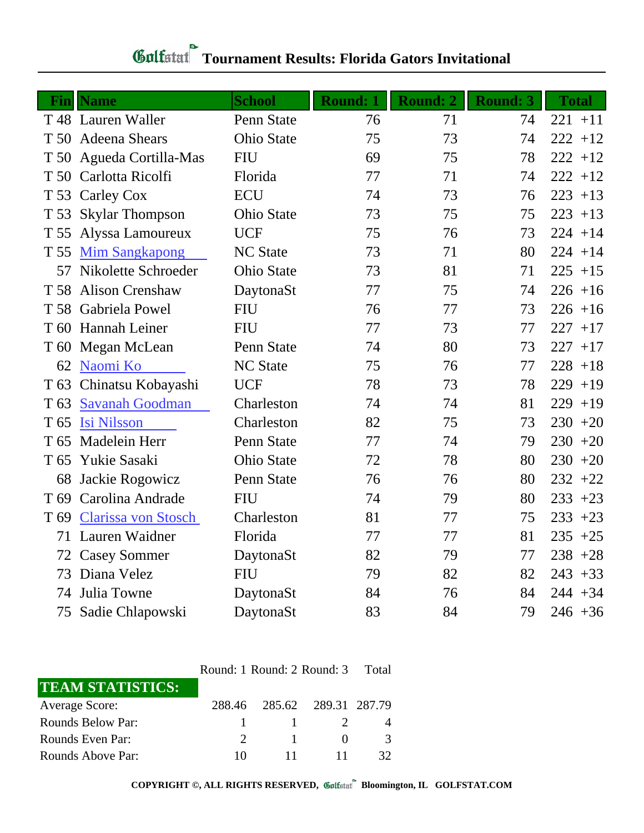## **Tournament Results: Florida Gators Invitational**

| Fin             | <b>Name</b>                | <b>School</b>     | <b>Round: 1</b> | <b>Round: 2</b> | <b>Round: 3</b> | <b>Total</b> |
|-----------------|----------------------------|-------------------|-----------------|-----------------|-----------------|--------------|
|                 | T 48 Lauren Waller         | Penn State        | 76              | 71              | 74              | $221 + 11$   |
|                 | T 50 Adeena Shears         | <b>Ohio State</b> | 75              | 73              | 74              | $222 + 12$   |
|                 | T 50 Agueda Cortilla-Mas   | <b>FIU</b>        | 69              | 75              | 78              | $222 + 12$   |
| T 50            | Carlotta Ricolfi           | Florida           | 77              | 71              | 74              | $222 + 12$   |
|                 | T 53 Carley Cox            | <b>ECU</b>        | 74              | 73              | 76              | $223 + 13$   |
| T 53            | <b>Skylar Thompson</b>     | <b>Ohio State</b> | 73              | 75              | 75              | $223 + 13$   |
| T 55            | Alyssa Lamoureux           | <b>UCF</b>        | 75              | 76              | 73              | $224 + 14$   |
| T 55            | <b>Mim Sangkapong</b>      | <b>NC State</b>   | 73              | 71              | 80              | $224 + 14$   |
| 57              | Nikolette Schroeder        | <b>Ohio State</b> | 73              | 81              | 71              | $225 + 15$   |
| T 58            | <b>Alison Crenshaw</b>     | DaytonaSt         | 77              | 75              | 74              | $226 + 16$   |
| T 58            | Gabriela Powel             | <b>FIU</b>        | 76              | 77              | 73              | $226 + 16$   |
| T 60            | <b>Hannah Leiner</b>       | <b>FIU</b>        | 77              | 73              | 77              | $227 + 17$   |
|                 | T 60 Megan McLean          | Penn State        | 74              | 80              | 73              | $227 + 17$   |
| 62              | Naomi Ko                   | <b>NC State</b>   | 75              | 76              | 77              | $228 + 18$   |
| T <sub>63</sub> | Chinatsu Kobayashi         | <b>UCF</b>        | 78              | 73              | 78              | 229<br>$+19$ |
| T 63            | <b>Savanah Goodman</b>     | Charleston        | 74              | 74              | 81              | $229 + 19$   |
| T <sub>65</sub> | <b>Isi Nilsson</b>         | Charleston        | 82              | 75              | 73              | $230 + 20$   |
| T 65            | Madelein Herr              | Penn State        | 77              | 74              | 79              | $230 + 20$   |
| T 65            | Yukie Sasaki               | <b>Ohio State</b> | 72              | 78              | 80              | $230 + 20$   |
| 68              | Jackie Rogowicz            | Penn State        | 76              | 76              | 80              | $232 + 22$   |
| T <sub>69</sub> | Carolina Andrade           | <b>FIU</b>        | 74              | 79              | 80              | $233 + 23$   |
| T <sub>69</sub> | <b>Clarissa von Stosch</b> | Charleston        | 81              | 77              | 75              | $233 + 23$   |
| 71              | Lauren Waidner             | Florida           | 77              | 77              | 81              | $235 + 25$   |
| 72              | <b>Casey Sommer</b>        | DaytonaSt         | 82              | 79              | 77              | $238 + 28$   |
| 73              | Diana Velez                | <b>FIU</b>        | 79              | 82              | 82              | $243 + 33$   |
| 74              | Julia Towne                | DaytonaSt         | 84              | 76              | 84              | $244 + 34$   |
| 75              | Sadie Chlapowski           | DaytonaSt         | 83              | 84              | 79              | $246 + 36$   |

| <b>TEAM STATISTICS:</b> |        |                      |    |
|-------------------------|--------|----------------------|----|
| Average Score:          | 288.46 | 285.62 289.31 287.79 |    |
| Rounds Below Par:       |        |                      |    |
| Rounds Even Par:        |        |                      | 3  |
| Rounds Above Par:       | 10     |                      | 37 |